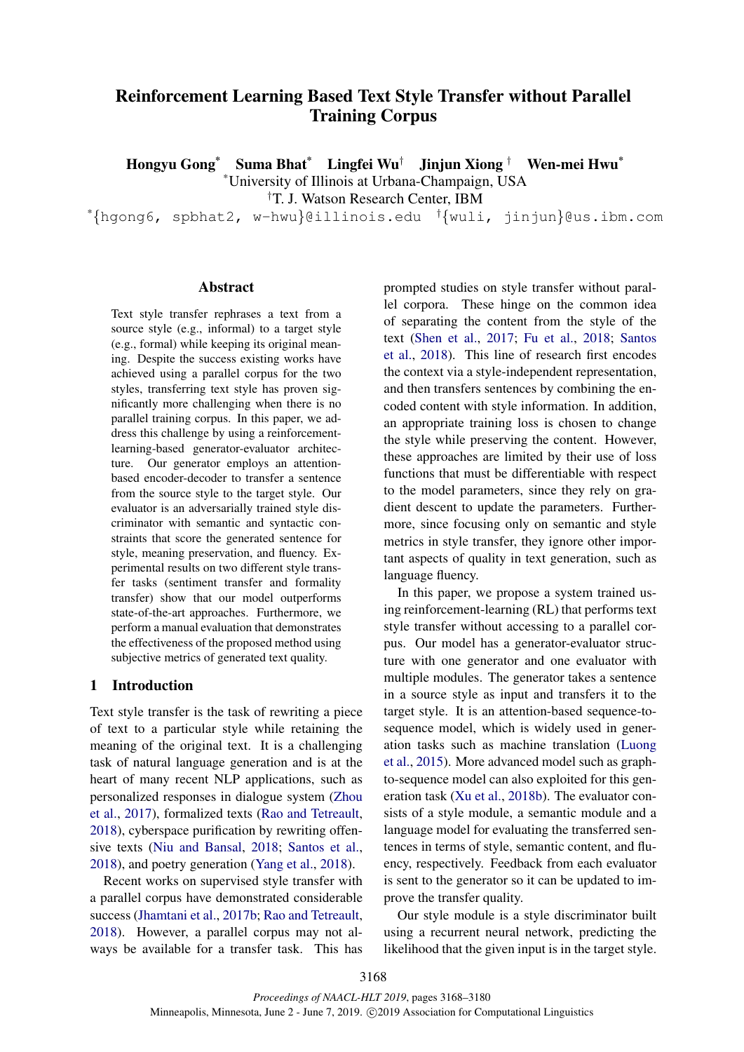# Reinforcement Learning Based Text Style Transfer without Parallel Training Corpus

Hongyu Gong\* Suma Bhat\* Lingfei Wu† Jinjun Xiong † Wen-mei Hwu\* \*University of Illinois at Urbana-Champaign, USA

†T. J. Watson Research Center, IBM

\*{hgong6, spbhat2, w-hwu}@illinois.edu †{wuli, jinjun}@us.ibm.com

## Abstract

Text style transfer rephrases a text from a source style (e.g., informal) to a target style (e.g., formal) while keeping its original meaning. Despite the success existing works have achieved using a parallel corpus for the two styles, transferring text style has proven significantly more challenging when there is no parallel training corpus. In this paper, we address this challenge by using a reinforcementlearning-based generator-evaluator architecture. Our generator employs an attentionbased encoder-decoder to transfer a sentence from the source style to the target style. Our evaluator is an adversarially trained style discriminator with semantic and syntactic constraints that score the generated sentence for style, meaning preservation, and fluency. Experimental results on two different style transfer tasks (sentiment transfer and formality transfer) show that our model outperforms state-of-the-art approaches. Furthermore, we perform a manual evaluation that demonstrates the effectiveness of the proposed method using subjective metrics of generated text quality.

# 1 Introduction

Text style transfer is the task of rewriting a piece of text to a particular style while retaining the meaning of the original text. It is a challenging task of natural language generation and is at the heart of many recent NLP applications, such as personalized responses in dialogue system [\(Zhou](#page-10-0) [et al.,](#page-10-0) [2017\)](#page-10-0), formalized texts [\(Rao and Tetreault,](#page-9-0) [2018\)](#page-9-0), cyberspace purification by rewriting offensive texts [\(Niu and Bansal,](#page-9-1) [2018;](#page-9-1) [Santos et al.,](#page-10-1) [2018\)](#page-10-1), and poetry generation [\(Yang et al.,](#page-10-2) [2018\)](#page-10-2).

Recent works on supervised style transfer with a parallel corpus have demonstrated considerable success [\(Jhamtani et al.,](#page-9-2) [2017b;](#page-9-2) [Rao and Tetreault,](#page-9-0) [2018\)](#page-9-0). However, a parallel corpus may not always be available for a transfer task. This has

prompted studies on style transfer without parallel corpora. These hinge on the common idea of separating the content from the style of the text [\(Shen et al.,](#page-10-3) [2017;](#page-10-3) [Fu et al.,](#page-9-3) [2018;](#page-9-3) [Santos](#page-10-1) [et al.,](#page-10-1) [2018\)](#page-10-1). This line of research first encodes the context via a style-independent representation, and then transfers sentences by combining the encoded content with style information. In addition, an appropriate training loss is chosen to change the style while preserving the content. However, these approaches are limited by their use of loss functions that must be differentiable with respect to the model parameters, since they rely on gradient descent to update the parameters. Furthermore, since focusing only on semantic and style metrics in style transfer, they ignore other important aspects of quality in text generation, such as language fluency.

In this paper, we propose a system trained using reinforcement-learning (RL) that performs text style transfer without accessing to a parallel corpus. Our model has a generator-evaluator structure with one generator and one evaluator with multiple modules. The generator takes a sentence in a source style as input and transfers it to the target style. It is an attention-based sequence-tosequence model, which is widely used in generation tasks such as machine translation [\(Luong](#page-9-4) [et al.,](#page-9-4) [2015\)](#page-9-4). More advanced model such as graphto-sequence model can also exploited for this generation task [\(Xu et al.,](#page-10-4) [2018b\)](#page-10-4). The evaluator consists of a style module, a semantic module and a language model for evaluating the transferred sentences in terms of style, semantic content, and fluency, respectively. Feedback from each evaluator is sent to the generator so it can be updated to improve the transfer quality.

Our style module is a style discriminator built using a recurrent neural network, predicting the likelihood that the given input is in the target style.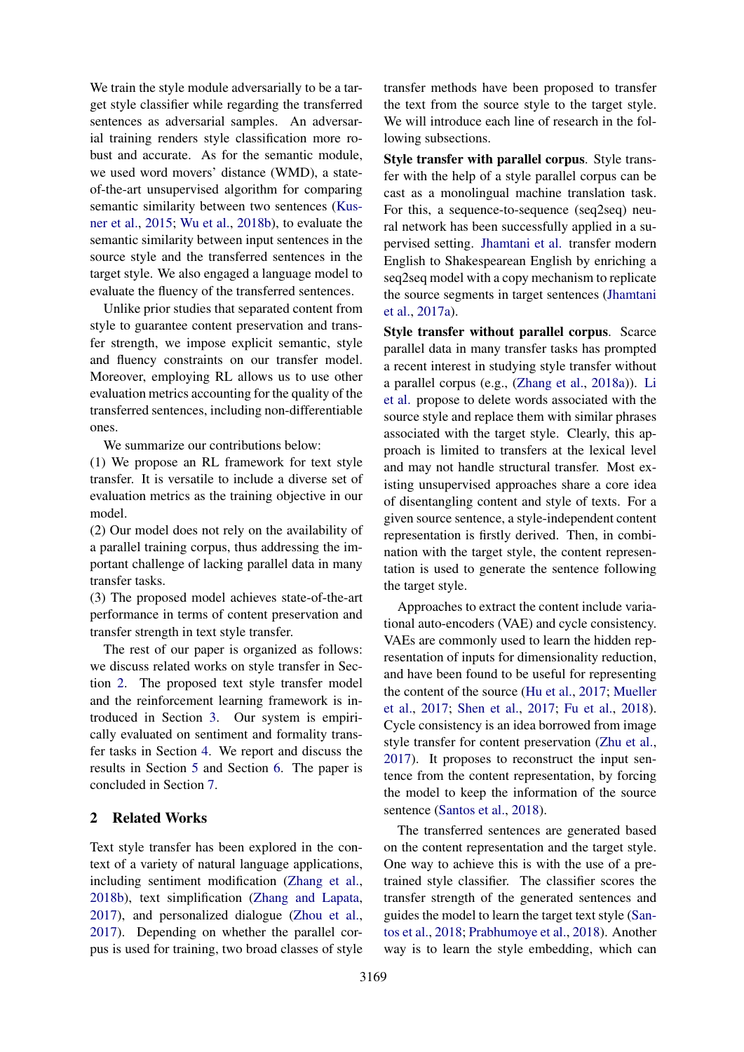We train the style module adversarially to be a target style classifier while regarding the transferred sentences as adversarial samples. An adversarial training renders style classification more robust and accurate. As for the semantic module, we used word movers' distance (WMD), a stateof-the-art unsupervised algorithm for comparing semantic similarity between two sentences [\(Kus](#page-9-5)[ner et al.,](#page-9-5) [2015;](#page-9-5) [Wu et al.,](#page-10-5) [2018b\)](#page-10-5), to evaluate the semantic similarity between input sentences in the source style and the transferred sentences in the target style. We also engaged a language model to evaluate the fluency of the transferred sentences.

Unlike prior studies that separated content from style to guarantee content preservation and transfer strength, we impose explicit semantic, style and fluency constraints on our transfer model. Moreover, employing RL allows us to use other evaluation metrics accounting for the quality of the transferred sentences, including non-differentiable ones.

We summarize our contributions below:

(1) We propose an RL framework for text style transfer. It is versatile to include a diverse set of evaluation metrics as the training objective in our model.

(2) Our model does not rely on the availability of a parallel training corpus, thus addressing the important challenge of lacking parallel data in many transfer tasks.

(3) The proposed model achieves state-of-the-art performance in terms of content preservation and transfer strength in text style transfer.

The rest of our paper is organized as follows: we discuss related works on style transfer in Section [2.](#page-1-0) The proposed text style transfer model and the reinforcement learning framework is introduced in Section [3.](#page-2-0) Our system is empirically evaluated on sentiment and formality transfer tasks in Section [4.](#page-5-0) We report and discuss the results in Section [5](#page-7-0) and Section [6.](#page-8-0) The paper is concluded in Section [7.](#page-8-1)

# <span id="page-1-0"></span>2 Related Works

Text style transfer has been explored in the context of a variety of natural language applications, including sentiment modification [\(Zhang et al.,](#page-10-6) [2018b\)](#page-10-6), text simplification [\(Zhang and Lapata,](#page-10-7) [2017\)](#page-10-7), and personalized dialogue [\(Zhou et al.,](#page-10-0) [2017\)](#page-10-0). Depending on whether the parallel corpus is used for training, two broad classes of style transfer methods have been proposed to transfer the text from the source style to the target style. We will introduce each line of research in the following subsections.

Style transfer with parallel corpus. Style transfer with the help of a style parallel corpus can be cast as a monolingual machine translation task. For this, a sequence-to-sequence (seq2seq) neural network has been successfully applied in a supervised setting. [Jhamtani et al.](#page-9-6) transfer modern English to Shakespearean English by enriching a seq2seq model with a copy mechanism to replicate the source segments in target sentences [\(Jhamtani](#page-9-6) [et al.,](#page-9-6) [2017a\)](#page-9-6).

Style transfer without parallel corpus. Scarce parallel data in many transfer tasks has prompted a recent interest in studying style transfer without a parallel corpus (e.g., [\(Zhang et al.,](#page-10-8) [2018a\)](#page-10-8)). [Li](#page-9-7) [et al.](#page-9-7) propose to delete words associated with the source style and replace them with similar phrases associated with the target style. Clearly, this approach is limited to transfers at the lexical level and may not handle structural transfer. Most existing unsupervised approaches share a core idea of disentangling content and style of texts. For a given source sentence, a style-independent content representation is firstly derived. Then, in combination with the target style, the content representation is used to generate the sentence following the target style.

Approaches to extract the content include variational auto-encoders (VAE) and cycle consistency. VAEs are commonly used to learn the hidden representation of inputs for dimensionality reduction, and have been found to be useful for representing the content of the source [\(Hu et al.,](#page-9-8) [2017;](#page-9-8) [Mueller](#page-9-9) [et al.,](#page-9-9) [2017;](#page-9-9) [Shen et al.,](#page-10-3) [2017;](#page-10-3) [Fu et al.,](#page-9-3) [2018\)](#page-9-3). Cycle consistency is an idea borrowed from image style transfer for content preservation [\(Zhu et al.,](#page-10-9) [2017\)](#page-10-9). It proposes to reconstruct the input sentence from the content representation, by forcing the model to keep the information of the source sentence [\(Santos et al.,](#page-10-1) [2018\)](#page-10-1).

The transferred sentences are generated based on the content representation and the target style. One way to achieve this is with the use of a pretrained style classifier. The classifier scores the transfer strength of the generated sentences and guides the model to learn the target text style [\(San](#page-10-1)[tos et al.,](#page-10-1) [2018;](#page-10-1) [Prabhumoye et al.,](#page-9-10) [2018\)](#page-9-10). Another way is to learn the style embedding, which can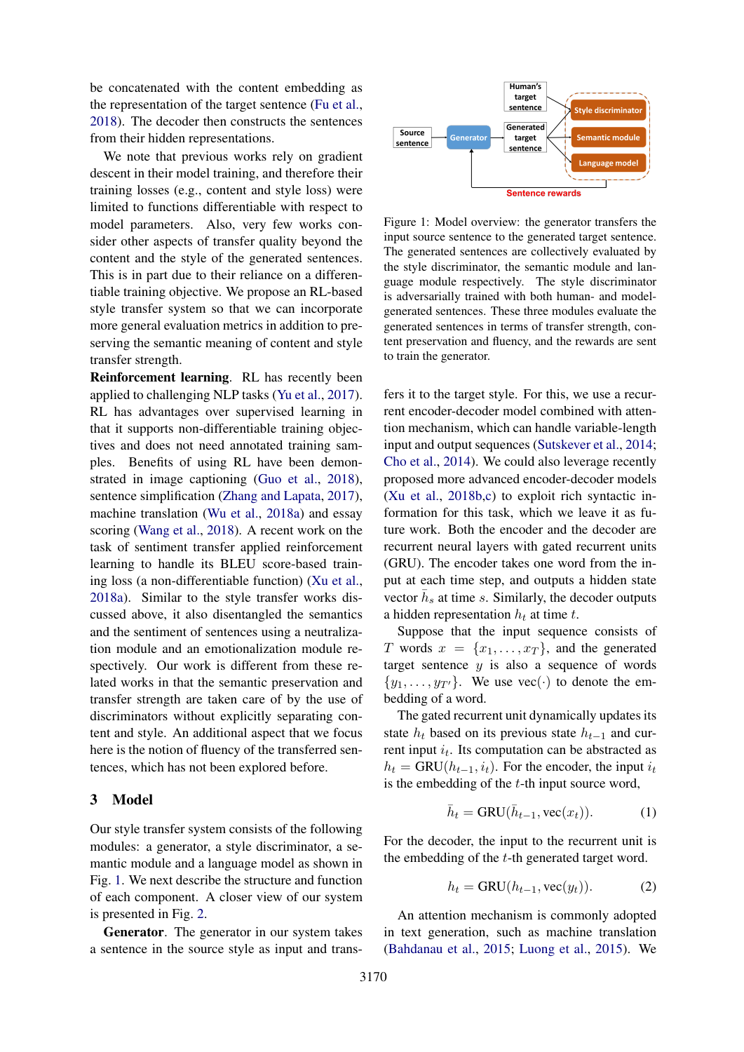be concatenated with the content embedding as the representation of the target sentence [\(Fu et al.,](#page-9-3) [2018\)](#page-9-3). The decoder then constructs the sentences from their hidden representations.

We note that previous works rely on gradient descent in their model training, and therefore their training losses (e.g., content and style loss) were limited to functions differentiable with respect to model parameters. Also, very few works consider other aspects of transfer quality beyond the content and the style of the generated sentences. This is in part due to their reliance on a differentiable training objective. We propose an RL-based style transfer system so that we can incorporate more general evaluation metrics in addition to preserving the semantic meaning of content and style transfer strength.

Reinforcement learning. RL has recently been applied to challenging NLP tasks [\(Yu et al.,](#page-10-10) [2017\)](#page-10-10). RL has advantages over supervised learning in that it supports non-differentiable training objectives and does not need annotated training samples. Benefits of using RL have been demonstrated in image captioning [\(Guo et al.,](#page-9-11) [2018\)](#page-9-11), sentence simplification [\(Zhang and Lapata,](#page-10-7) [2017\)](#page-10-7), machine translation [\(Wu et al.,](#page-10-11) [2018a\)](#page-10-11) and essay scoring [\(Wang et al.,](#page-10-12) [2018\)](#page-10-12). A recent work on the task of sentiment transfer applied reinforcement learning to handle its BLEU score-based training loss (a non-differentiable function) [\(Xu et al.,](#page-10-13) [2018a\)](#page-10-13). Similar to the style transfer works discussed above, it also disentangled the semantics and the sentiment of sentences using a neutralization module and an emotionalization module respectively. Our work is different from these related works in that the semantic preservation and transfer strength are taken care of by the use of discriminators without explicitly separating content and style. An additional aspect that we focus here is the notion of fluency of the transferred sentences, which has not been explored before.

# <span id="page-2-0"></span>3 Model

Our style transfer system consists of the following modules: a generator, a style discriminator, a semantic module and a language model as shown in Fig. [1.](#page-2-1) We next describe the structure and function of each component. A closer view of our system is presented in Fig. [2.](#page-3-0)

Generator. The generator in our system takes a sentence in the source style as input and trans-

<span id="page-2-1"></span>

Figure 1: Model overview: the generator transfers the input source sentence to the generated target sentence. The generated sentences are collectively evaluated by the style discriminator, the semantic module and language module respectively. The style discriminator is adversarially trained with both human- and modelgenerated sentences. These three modules evaluate the generated sentences in terms of transfer strength, content preservation and fluency, and the rewards are sent to train the generator.

fers it to the target style. For this, we use a recurrent encoder-decoder model combined with attention mechanism, which can handle variable-length input and output sequences [\(Sutskever et al.,](#page-10-14) [2014;](#page-10-14) [Cho et al.,](#page-9-12) [2014\)](#page-9-12). We could also leverage recently proposed more advanced encoder-decoder models [\(Xu et al.,](#page-10-4) [2018b,](#page-10-4)[c\)](#page-10-15) to exploit rich syntactic information for this task, which we leave it as future work. Both the encoder and the decoder are recurrent neural layers with gated recurrent units (GRU). The encoder takes one word from the input at each time step, and outputs a hidden state vector  $\bar{h}_s$  at time s. Similarly, the decoder outputs a hidden representation  $h_t$  at time t.

Suppose that the input sequence consists of T words  $x = \{x_1, \ldots, x_T\}$ , and the generated target sentence  $y$  is also a sequence of words  $\{y_1, \ldots, y_{T'}\}.$  We use vec(·) to denote the embedding of a word.

The gated recurrent unit dynamically updates its state  $h_t$  based on its previous state  $h_{t-1}$  and current input  $i_t$ . Its computation can be abstracted as  $h_t = \text{GRU}(h_{t-1}, i_t)$ . For the encoder, the input  $i_t$ is the embedding of the  $t$ -th input source word,

$$
\bar{h}_t = \text{GRU}(\bar{h}_{t-1}, \text{vec}(x_t)).\tag{1}
$$

For the decoder, the input to the recurrent unit is the embedding of the t-th generated target word.

$$
h_t = \text{GRU}(h_{t-1}, \text{vec}(y_t)).\tag{2}
$$

An attention mechanism is commonly adopted in text generation, such as machine translation [\(Bahdanau et al.,](#page-9-13) [2015;](#page-9-13) [Luong et al.,](#page-9-4) [2015\)](#page-9-4). We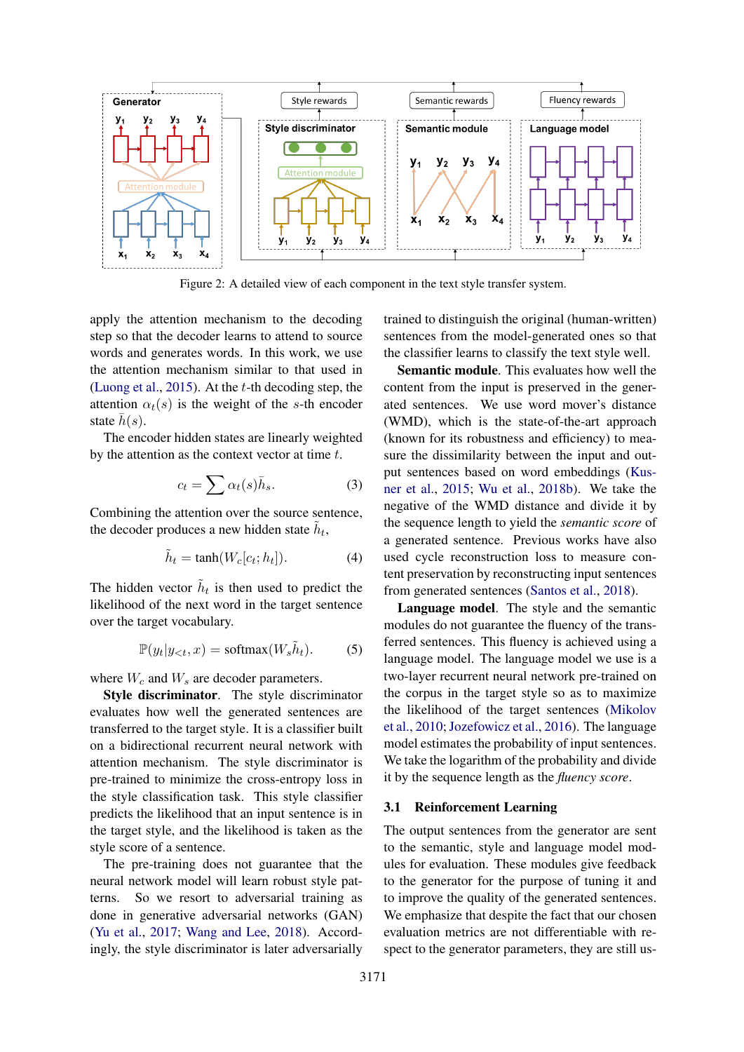<span id="page-3-0"></span>

Figure 2: A detailed view of each component in the text style transfer system.

apply the attention mechanism to the decoding step so that the decoder learns to attend to source words and generates words. In this work, we use the attention mechanism similar to that used in [\(Luong et al.,](#page-9-4) [2015\)](#page-9-4). At the t-th decoding step, the attention  $\alpha_t(s)$  is the weight of the s-th encoder state  $h(s)$ .

The encoder hidden states are linearly weighted by the attention as the context vector at time  $t$ .

$$
c_t = \sum \alpha_t(s)\bar{h}_s.
$$
 (3)

Combining the attention over the source sentence, the decoder produces a new hidden state  $\tilde{h}_t$ ,

$$
\tilde{h}_t = \tanh(W_c[c_t; h_t]). \tag{4}
$$

The hidden vector  $\tilde{h}_t$  is then used to predict the likelihood of the next word in the target sentence over the target vocabulary.

$$
\mathbb{P}(y_t|y_{< t}, x) = \text{softmax}(W_s \tilde{h}_t). \tag{5}
$$

where  $W_c$  and  $W_s$  are decoder parameters.

Style discriminator. The style discriminator evaluates how well the generated sentences are transferred to the target style. It is a classifier built on a bidirectional recurrent neural network with attention mechanism. The style discriminator is pre-trained to minimize the cross-entropy loss in the style classification task. This style classifier predicts the likelihood that an input sentence is in the target style, and the likelihood is taken as the style score of a sentence.

The pre-training does not guarantee that the neural network model will learn robust style patterns. So we resort to adversarial training as done in generative adversarial networks (GAN) [\(Yu et al.,](#page-10-10) [2017;](#page-10-10) [Wang and Lee,](#page-10-16) [2018\)](#page-10-16). Accordingly, the style discriminator is later adversarially

trained to distinguish the original (human-written) sentences from the model-generated ones so that the classifier learns to classify the text style well.

Semantic module. This evaluates how well the content from the input is preserved in the generated sentences. We use word mover's distance (WMD), which is the state-of-the-art approach (known for its robustness and efficiency) to measure the dissimilarity between the input and output sentences based on word embeddings [\(Kus](#page-9-5)[ner et al.,](#page-9-5) [2015;](#page-9-5) [Wu et al.,](#page-10-5) [2018b\)](#page-10-5). We take the negative of the WMD distance and divide it by the sequence length to yield the *semantic score* of a generated sentence. Previous works have also used cycle reconstruction loss to measure content preservation by reconstructing input sentences from generated sentences [\(Santos et al.,](#page-10-1) [2018\)](#page-10-1).

Language model. The style and the semantic modules do not guarantee the fluency of the transferred sentences. This fluency is achieved using a language model. The language model we use is a two-layer recurrent neural network pre-trained on the corpus in the target style so as to maximize the likelihood of the target sentences [\(Mikolov](#page-9-14) [et al.,](#page-9-14) [2010;](#page-9-14) [Jozefowicz et al.,](#page-9-15) [2016\)](#page-9-15). The language model estimates the probability of input sentences. We take the logarithm of the probability and divide it by the sequence length as the *fluency score*.

### 3.1 Reinforcement Learning

The output sentences from the generator are sent to the semantic, style and language model modules for evaluation. These modules give feedback to the generator for the purpose of tuning it and to improve the quality of the generated sentences. We emphasize that despite the fact that our chosen evaluation metrics are not differentiable with respect to the generator parameters, they are still us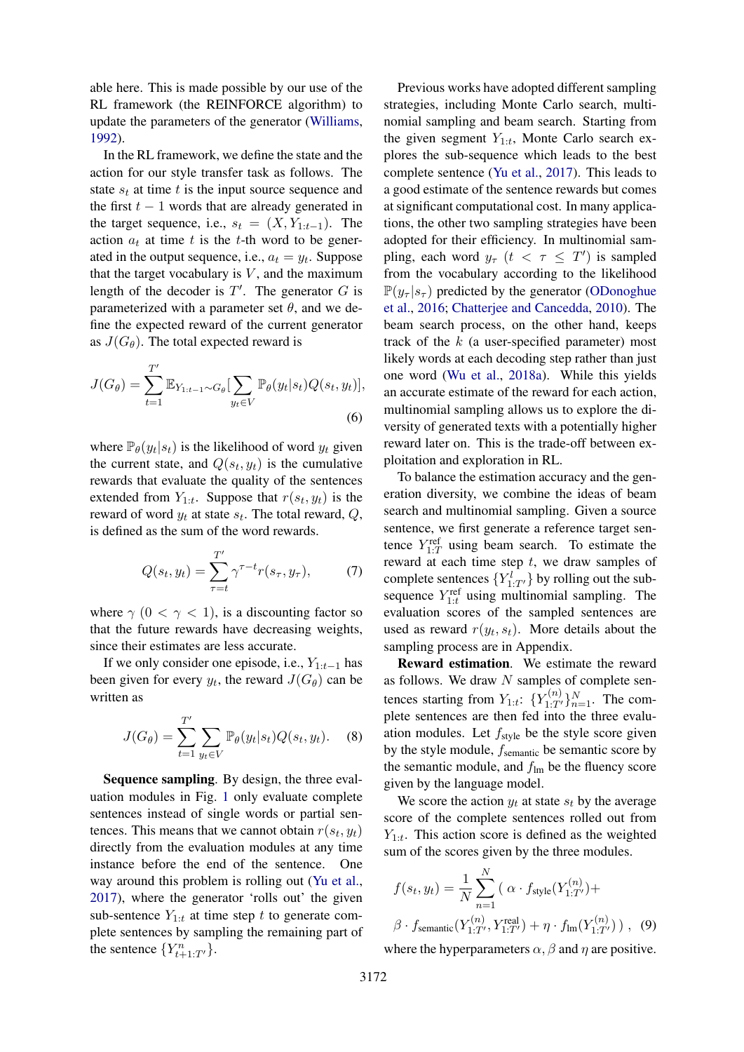able here. This is made possible by our use of the RL framework (the REINFORCE algorithm) to update the parameters of the generator [\(Williams,](#page-10-17) [1992\)](#page-10-17).

In the RL framework, we define the state and the action for our style transfer task as follows. The state  $s_t$  at time t is the input source sequence and the first  $t - 1$  words that are already generated in the target sequence, i.e.,  $s_t = (X, Y_{1:t-1})$ . The action  $a_t$  at time t is the t-th word to be generated in the output sequence, i.e.,  $a_t = y_t$ . Suppose that the target vocabulary is  $V$ , and the maximum length of the decoder is  $T'$ . The generator  $G$  is parameterized with a parameter set  $\theta$ , and we define the expected reward of the current generator as  $J(G_\theta)$ . The total expected reward is

$$
J(G_{\theta}) = \sum_{t=1}^{T'} \mathbb{E}_{Y_{1:t-1} \sim G_{\theta}} \left[ \sum_{y_t \in V} \mathbb{P}_{\theta}(y_t | s_t) Q(s_t, y_t) \right],
$$
\n(6)

where  $\mathbb{P}_{\theta}(y_t|s_t)$  is the likelihood of word  $y_t$  given the current state, and  $Q(s_t, y_t)$  is the cumulative rewards that evaluate the quality of the sentences extended from  $Y_{1:t}$ . Suppose that  $r(s_t, y_t)$  is the reward of word  $y_t$  at state  $s_t$ . The total reward,  $Q$ , is defined as the sum of the word rewards.

$$
Q(s_t, y_t) = \sum_{\tau=t}^{T'} \gamma^{\tau-t} r(s_\tau, y_\tau), \qquad (7)
$$

where  $\gamma$  (0 <  $\gamma$  < 1), is a discounting factor so that the future rewards have decreasing weights, since their estimates are less accurate.

If we only consider one episode, i.e.,  $Y_{1:t-1}$  has been given for every  $y_t$ , the reward  $J(G_\theta)$  can be written as

$$
J(G_{\theta}) = \sum_{t=1}^{T'} \sum_{y_t \in V} \mathbb{P}_{\theta}(y_t | s_t) Q(s_t, y_t).
$$
 (8)

Sequence sampling. By design, the three evaluation modules in Fig. [1](#page-2-1) only evaluate complete sentences instead of single words or partial sentences. This means that we cannot obtain  $r(s_t, y_t)$ directly from the evaluation modules at any time instance before the end of the sentence. One way around this problem is rolling out [\(Yu et al.,](#page-10-10) [2017\)](#page-10-10), where the generator 'rolls out' the given sub-sentence  $Y_{1:t}$  at time step t to generate complete sentences by sampling the remaining part of the sentence  $\{Y_{t+1:T'}^n\}$ .

Previous works have adopted different sampling strategies, including Monte Carlo search, multinomial sampling and beam search. Starting from the given segment  $Y_{1:t}$ , Monte Carlo search explores the sub-sequence which leads to the best complete sentence [\(Yu et al.,](#page-10-10) [2017\)](#page-10-10). This leads to a good estimate of the sentence rewards but comes at significant computational cost. In many applications, the other two sampling strategies have been adopted for their efficiency. In multinomial sampling, each word  $y_\tau$   $(t < \tau \leq T')$  is sampled from the vocabulary according to the likelihood  $\mathbb{P}(y_\tau | s_\tau)$  predicted by the generator [\(ODonoghue](#page-9-16) [et al.,](#page-9-16) [2016;](#page-9-16) [Chatterjee and Cancedda,](#page-9-17) [2010\)](#page-9-17). The beam search process, on the other hand, keeps track of the  $k$  (a user-specified parameter) most likely words at each decoding step rather than just one word [\(Wu et al.,](#page-10-11) [2018a\)](#page-10-11). While this yields an accurate estimate of the reward for each action, multinomial sampling allows us to explore the diversity of generated texts with a potentially higher reward later on. This is the trade-off between exploitation and exploration in RL.

<span id="page-4-0"></span>To balance the estimation accuracy and the generation diversity, we combine the ideas of beam search and multinomial sampling. Given a source sentence, we first generate a reference target sentence  $Y_{1:T}^{\text{ref}}$  using beam search. To estimate the reward at each time step  $t$ , we draw samples of complete sentences  ${Y_{1:T'}^l}$  by rolling out the subsequence  $Y_{1:t}^{ref}$  using multinomial sampling. The evaluation scores of the sampled sentences are used as reward  $r(y_t, s_t)$ . More details about the sampling process are in Appendix.

<span id="page-4-1"></span>Reward estimation. We estimate the reward as follows. We draw  $N$  samples of complete sentences starting from  $Y_{1:t}$ :  $\{Y_{1:T'}^{(n)}\}_{n=1}^N$ . The complete sentences are then fed into the three evaluation modules. Let  $f_{\text{style}}$  be the style score given by the style module,  $f_{\text{semantic}}$  be semantic score by the semantic module, and  $f_{lm}$  be the fluency score given by the language model.

We score the action  $y_t$  at state  $s_t$  by the average score of the complete sentences rolled out from  $Y_{1:t}$ . This action score is defined as the weighted sum of the scores given by the three modules.

$$
f(s_t, y_t) = \frac{1}{N} \sum_{n=1}^{N} (\alpha \cdot f_{\text{style}}(Y_{1:T'}^{(n)}) +
$$
  

$$
\beta \cdot f_{\text{semantic}}(Y_{1:T'}^{(n)}, Y_{1:T'}^{\text{real}}) + \eta \cdot f_{\text{lm}}(Y_{1:T'}^{(n)})) , \quad (9)
$$

where the hyperparameters  $\alpha$ ,  $\beta$  and  $\eta$  are positive.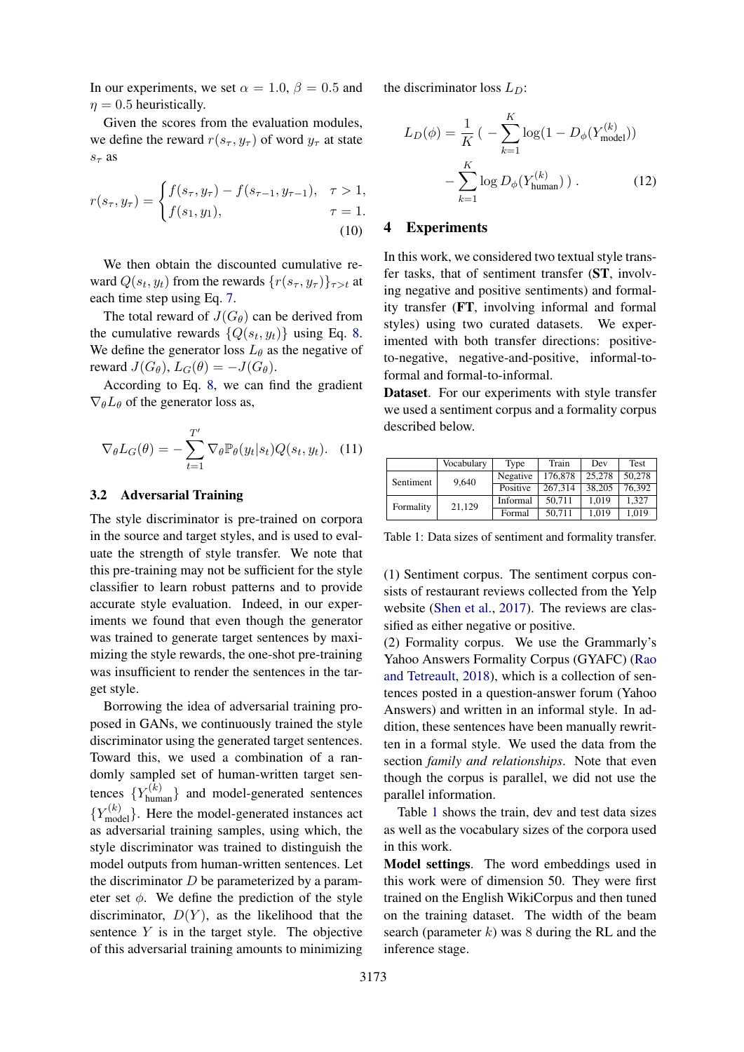In our experiments, we set  $\alpha = 1.0$ ,  $\beta = 0.5$  and  $n = 0.5$  heuristically.

Given the scores from the evaluation modules, we define the reward  $r(s_\tau, y_\tau)$  of word  $y_\tau$  at state  $s<sub>\tau</sub>$  as

$$
r(s_{\tau}, y_{\tau}) = \begin{cases} f(s_{\tau}, y_{\tau}) - f(s_{\tau-1}, y_{\tau-1}), & \tau > 1, \\ f(s_1, y_1), & \tau = 1. \end{cases}
$$
(10)

We then obtain the discounted cumulative reward  $Q(s_t, y_t)$  from the rewards  $\{r(s_\tau, y_\tau)\}_{\tau>t}$  at each time step using Eq. [7.](#page-4-0)

The total reward of  $J(G_\theta)$  can be derived from the cumulative rewards  $\{Q(s_t, y_t)\}\$  using Eq. [8.](#page-4-1) We define the generator loss  $L_{\theta}$  as the negative of reward  $J(G_\theta)$ ,  $L_G(\theta) = -J(G_\theta)$ .

According to Eq. [8,](#page-4-1) we can find the gradient  $\nabla_{\theta}L_{\theta}$  of the generator loss as,

$$
\nabla_{\theta} L_G(\theta) = -\sum_{t=1}^{T'} \nabla_{\theta} \mathbb{P}_{\theta}(y_t|s_t) Q(s_t, y_t). \quad (11)
$$

#### 3.2 Adversarial Training

The style discriminator is pre-trained on corpora in the source and target styles, and is used to evaluate the strength of style transfer. We note that this pre-training may not be sufficient for the style classifier to learn robust patterns and to provide accurate style evaluation. Indeed, in our experiments we found that even though the generator was trained to generate target sentences by maximizing the style rewards, the one-shot pre-training was insufficient to render the sentences in the target style.

Borrowing the idea of adversarial training proposed in GANs, we continuously trained the style discriminator using the generated target sentences. Toward this, we used a combination of a randomly sampled set of human-written target sentences  $\{Y_{\text{human}}^{(k)}\}$  and model-generated sentences  ${Y_{\text{model}}^{(k)}}$ . Here the model-generated instances act as adversarial training samples, using which, the style discriminator was trained to distinguish the model outputs from human-written sentences. Let the discriminator  $D$  be parameterized by a parameter set  $\phi$ . We define the prediction of the style discriminator,  $D(Y)$ , as the likelihood that the sentence  $Y$  is in the target style. The objective of this adversarial training amounts to minimizing

the discriminator loss  $L_D$ :

$$
L_D(\phi) = \frac{1}{K} \left( -\sum_{k=1}^{K} \log(1 - D_{\phi}(Y_{\text{model}}^{(k)})) - \sum_{k=1}^{K} \log D_{\phi}(Y_{\text{human}}^{(k)}) \right). \tag{12}
$$

#### <span id="page-5-2"></span><span id="page-5-0"></span>4 Experiments

In this work, we considered two textual style transfer tasks, that of sentiment transfer (ST, involving negative and positive sentiments) and formality transfer (FT, involving informal and formal styles) using two curated datasets. We experimented with both transfer directions: positiveto-negative, negative-and-positive, informal-toformal and formal-to-informal.

Dataset. For our experiments with style transfer we used a sentiment corpus and a formality corpus described below.

<span id="page-5-1"></span>

|           | Vocabulary | Type     | Train   | Dev    | Test   |
|-----------|------------|----------|---------|--------|--------|
| Sentiment | 9.640      | Negative | 176,878 | 25,278 | 50.278 |
|           |            | Positive | 267.314 | 38.205 | 76.392 |
| Formality | 21,129     | Informal | 50.711  | 1.019  | 1.327  |
|           |            | Formal   | 50.711  | 1.019  | 1,019  |

Table 1: Data sizes of sentiment and formality transfer.

(1) Sentiment corpus. The sentiment corpus consists of restaurant reviews collected from the Yelp website [\(Shen et al.,](#page-10-3) [2017\)](#page-10-3). The reviews are classified as either negative or positive.

(2) Formality corpus. We use the Grammarly's Yahoo Answers Formality Corpus (GYAFC) [\(Rao](#page-9-0) [and Tetreault,](#page-9-0) [2018\)](#page-9-0), which is a collection of sentences posted in a question-answer forum (Yahoo Answers) and written in an informal style. In addition, these sentences have been manually rewritten in a formal style. We used the data from the section *family and relationships*. Note that even though the corpus is parallel, we did not use the parallel information.

Table [1](#page-5-1) shows the train, dev and test data sizes as well as the vocabulary sizes of the corpora used in this work.

Model settings. The word embeddings used in this work were of dimension 50. They were first trained on the English WikiCorpus and then tuned on the training dataset. The width of the beam search (parameter  $k$ ) was 8 during the RL and the inference stage.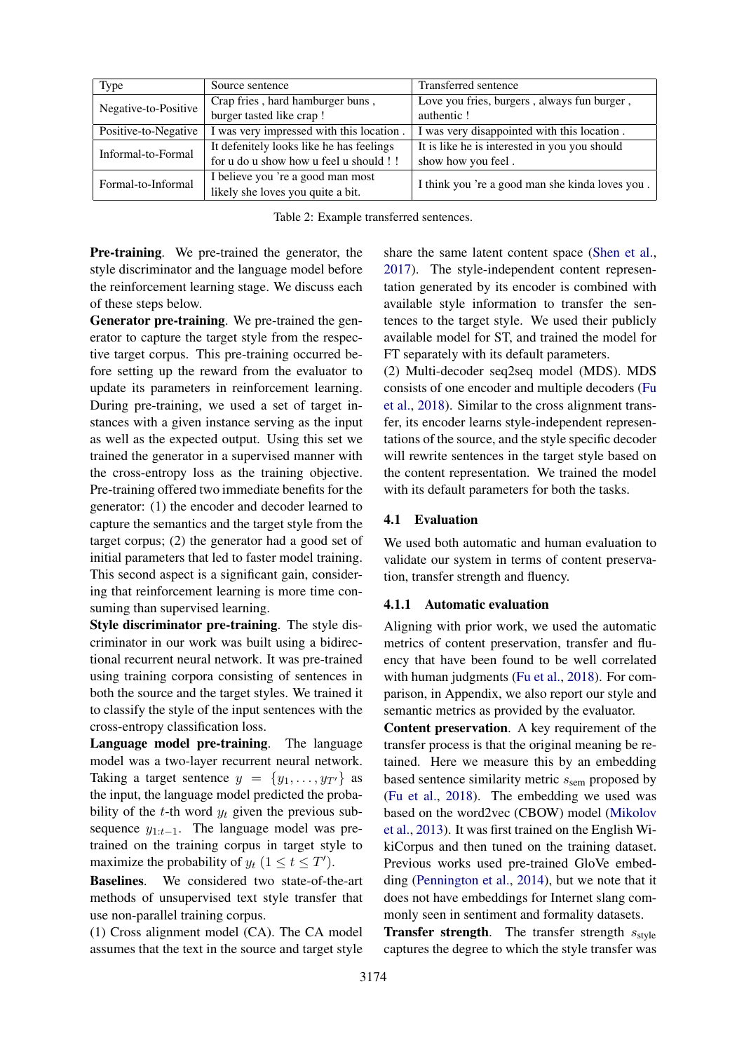<span id="page-6-0"></span>

| <b>Type</b>                                                      | Source sentence                          | Transferred sentence                            |  |
|------------------------------------------------------------------|------------------------------------------|-------------------------------------------------|--|
| Negative-to-Positive                                             | Crap fries, hard hamburger buns,         | Love you fries, burgers, always fun burger,     |  |
|                                                                  | burger tasted like crap!                 | authentic!                                      |  |
| I was very impressed with this location.<br>Positive-to-Negative |                                          | I was very disappointed with this location.     |  |
| Informal-to-Formal                                               | It defenitely looks like he has feelings | It is like he is interested in you you should   |  |
|                                                                  | for u do u show how u feel u should !!   | show how you feel.                              |  |
| Formal-to-Informal                                               | I believe you 're a good man most        | I think you 're a good man she kinda loves you. |  |
|                                                                  | likely she loves you quite a bit.        |                                                 |  |

| Table 2: Example transferred sentences. |  |  |
|-----------------------------------------|--|--|
|-----------------------------------------|--|--|

Pre-training. We pre-trained the generator, the style discriminator and the language model before the reinforcement learning stage. We discuss each of these steps below.

Generator pre-training. We pre-trained the generator to capture the target style from the respective target corpus. This pre-training occurred before setting up the reward from the evaluator to update its parameters in reinforcement learning. During pre-training, we used a set of target instances with a given instance serving as the input as well as the expected output. Using this set we trained the generator in a supervised manner with the cross-entropy loss as the training objective. Pre-training offered two immediate benefits for the generator: (1) the encoder and decoder learned to capture the semantics and the target style from the target corpus; (2) the generator had a good set of initial parameters that led to faster model training. This second aspect is a significant gain, considering that reinforcement learning is more time consuming than supervised learning.

Style discriminator pre-training. The style discriminator in our work was built using a bidirectional recurrent neural network. It was pre-trained using training corpora consisting of sentences in both the source and the target styles. We trained it to classify the style of the input sentences with the cross-entropy classification loss.

Language model pre-training. The language model was a two-layer recurrent neural network. Taking a target sentence  $y = \{y_1, \ldots, y_{T'}\}$  as the input, the language model predicted the probability of the t-th word  $y_t$  given the previous subsequence  $y_{1:t-1}$ . The language model was pretrained on the training corpus in target style to maximize the probability of  $y_t$   $(1 \le t \le T')$ .

Baselines. We considered two state-of-the-art methods of unsupervised text style transfer that use non-parallel training corpus.

(1) Cross alignment model (CA). The CA model assumes that the text in the source and target style share the same latent content space [\(Shen et al.,](#page-10-3) [2017\)](#page-10-3). The style-independent content representation generated by its encoder is combined with available style information to transfer the sentences to the target style. We used their publicly available model for ST, and trained the model for FT separately with its default parameters.

(2) Multi-decoder seq2seq model (MDS). MDS consists of one encoder and multiple decoders [\(Fu](#page-9-3) [et al.,](#page-9-3) [2018\)](#page-9-3). Similar to the cross alignment transfer, its encoder learns style-independent representations of the source, and the style specific decoder will rewrite sentences in the target style based on the content representation. We trained the model with its default parameters for both the tasks.

#### 4.1 Evaluation

We used both automatic and human evaluation to validate our system in terms of content preservation, transfer strength and fluency.

#### 4.1.1 Automatic evaluation

Aligning with prior work, we used the automatic metrics of content preservation, transfer and fluency that have been found to be well correlated with human judgments [\(Fu et al.,](#page-9-3) [2018\)](#page-9-3). For comparison, in Appendix, we also report our style and semantic metrics as provided by the evaluator.

Content preservation. A key requirement of the transfer process is that the original meaning be retained. Here we measure this by an embedding based sentence similarity metric  $s_{\text{sem}}$  proposed by [\(Fu et al.,](#page-9-3) [2018\)](#page-9-3). The embedding we used was based on the word2vec (CBOW) model [\(Mikolov](#page-9-18) [et al.,](#page-9-18) [2013\)](#page-9-18). It was first trained on the English WikiCorpus and then tuned on the training dataset. Previous works used pre-trained GloVe embedding [\(Pennington et al.,](#page-9-19) [2014\)](#page-9-19), but we note that it does not have embeddings for Internet slang commonly seen in sentiment and formality datasets.

**Transfer strength.** The transfer strength  $s_{style}$ captures the degree to which the style transfer was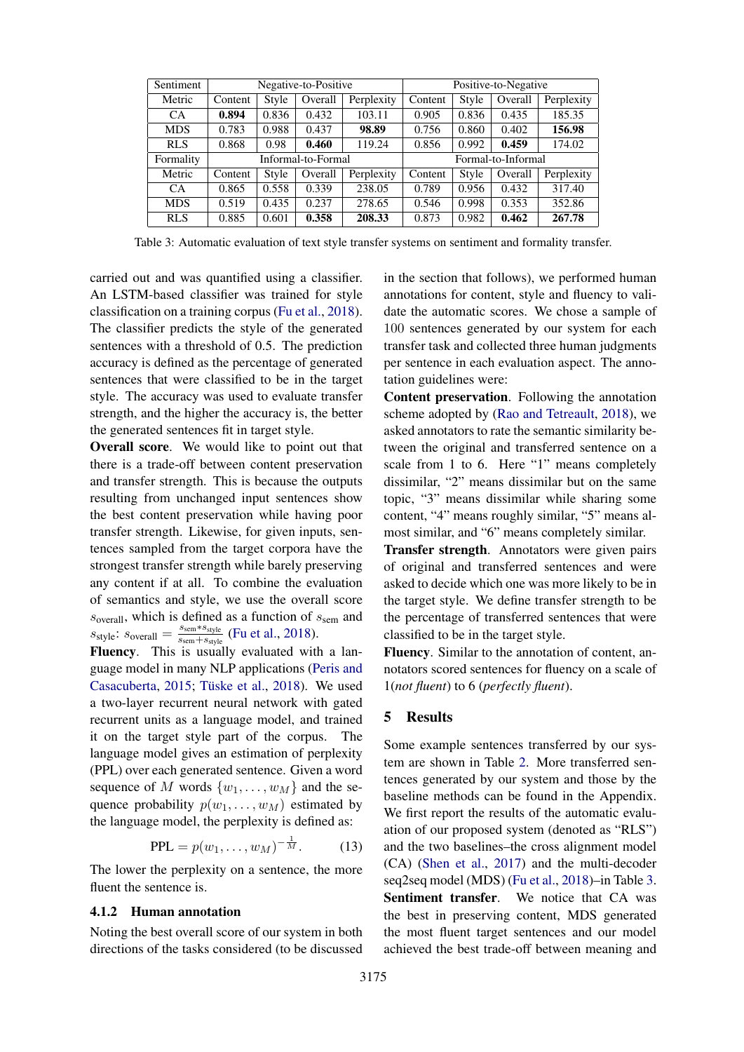<span id="page-7-1"></span>

| Sentiment  | Negative-to-Positive |       |         | Positive-to-Negative |         |       |         |            |
|------------|----------------------|-------|---------|----------------------|---------|-------|---------|------------|
| Metric     | Content              | Style | Overall | Perplexity           | Content | Style | Overall | Perplexity |
| <b>CA</b>  | 0.894                | 0.836 | 0.432   | 103.11               | 0.905   | 0.836 | 0.435   | 185.35     |
| <b>MDS</b> | 0.783                | 0.988 | 0.437   | 98.89                | 0.756   | 0.860 | 0.402   | 156.98     |
| <b>RLS</b> | 0.868                | 0.98  | 0.460   | 119.24               | 0.856   | 0.992 | 0.459   | 174.02     |
| Formality  | Informal-to-Formal   |       |         | Formal-to-Informal   |         |       |         |            |
| Metric     | Content              | Style | Overall | Perplexity           | Content | Style | Overall | Perplexity |
| CA.        | 0.865                | 0.558 | 0.339   | 238.05               | 0.789   | 0.956 | 0.432   | 317.40     |
| <b>MDS</b> | 0.519                | 0.435 | 0.237   | 278.65               | 0.546   | 0.998 | 0.353   | 352.86     |
| <b>RLS</b> | 0.885                | 0.601 | 0.358   | 208.33               | 0.873   | 0.982 | 0.462   | 267.78     |

Table 3: Automatic evaluation of text style transfer systems on sentiment and formality transfer.

carried out and was quantified using a classifier. An LSTM-based classifier was trained for style classification on a training corpus [\(Fu et al.,](#page-9-3) [2018\)](#page-9-3). The classifier predicts the style of the generated sentences with a threshold of 0.5. The prediction accuracy is defined as the percentage of generated sentences that were classified to be in the target style. The accuracy was used to evaluate transfer strength, and the higher the accuracy is, the better the generated sentences fit in target style.

Overall score. We would like to point out that there is a trade-off between content preservation and transfer strength. This is because the outputs resulting from unchanged input sentences show the best content preservation while having poor transfer strength. Likewise, for given inputs, sentences sampled from the target corpora have the strongest transfer strength while barely preserving any content if at all. To combine the evaluation of semantics and style, we use the overall score  $s_{\text{overall}}$ , which is defined as a function of  $s_{\text{sem}}$  and  $s_{style:}}$  s<sub>overall</sub>  $=\frac{s_{sem}*s_{style}}{s_{sem}+s_{style}}$  $\frac{s_{\text{sem}}+s_{\text{style}}}{s_{\text{sem}}+s_{\text{style}}}$  [\(Fu et al.,](#page-9-3) [2018\)](#page-9-3).

Fluency. This is usually evaluated with a language model in many NLP applications [\(Peris and](#page-9-20) [Casacuberta,](#page-9-20) [2015;](#page-9-20) Tüske et al., [2018\)](#page-10-18). We used a two-layer recurrent neural network with gated recurrent units as a language model, and trained it on the target style part of the corpus. The language model gives an estimation of perplexity (PPL) over each generated sentence. Given a word sequence of M words  $\{w_1, \ldots, w_M\}$  and the sequence probability  $p(w_1, \ldots, w_M)$  estimated by the language model, the perplexity is defined as:

$$
PPL = p(w_1, \dots, w_M)^{-\frac{1}{M}}.
$$
 (13)

The lower the perplexity on a sentence, the more fluent the sentence is.

## 4.1.2 Human annotation

Noting the best overall score of our system in both directions of the tasks considered (to be discussed

in the section that follows), we performed human annotations for content, style and fluency to validate the automatic scores. We chose a sample of 100 sentences generated by our system for each transfer task and collected three human judgments per sentence in each evaluation aspect. The annotation guidelines were:

Content preservation. Following the annotation scheme adopted by [\(Rao and Tetreault,](#page-9-0) [2018\)](#page-9-0), we asked annotators to rate the semantic similarity between the original and transferred sentence on a scale from 1 to 6. Here "1" means completely dissimilar, "2" means dissimilar but on the same topic, "3" means dissimilar while sharing some content, "4" means roughly similar, "5" means almost similar, and "6" means completely similar.

Transfer strength. Annotators were given pairs of original and transferred sentences and were asked to decide which one was more likely to be in the target style. We define transfer strength to be the percentage of transferred sentences that were classified to be in the target style.

Fluency. Similar to the annotation of content, annotators scored sentences for fluency on a scale of 1(*not fluent*) to 6 (*perfectly fluent*).

### <span id="page-7-0"></span>5 Results

Some example sentences transferred by our system are shown in Table [2.](#page-6-0) More transferred sentences generated by our system and those by the baseline methods can be found in the Appendix. We first report the results of the automatic evaluation of our proposed system (denoted as "RLS") and the two baselines–the cross alignment model (CA) [\(Shen et al.,](#page-10-3) [2017\)](#page-10-3) and the multi-decoder seq2seq model (MDS) [\(Fu et al.,](#page-9-3) [2018\)](#page-9-3)–in Table [3.](#page-7-1) Sentiment transfer. We notice that CA was the best in preserving content, MDS generated the most fluent target sentences and our model achieved the best trade-off between meaning and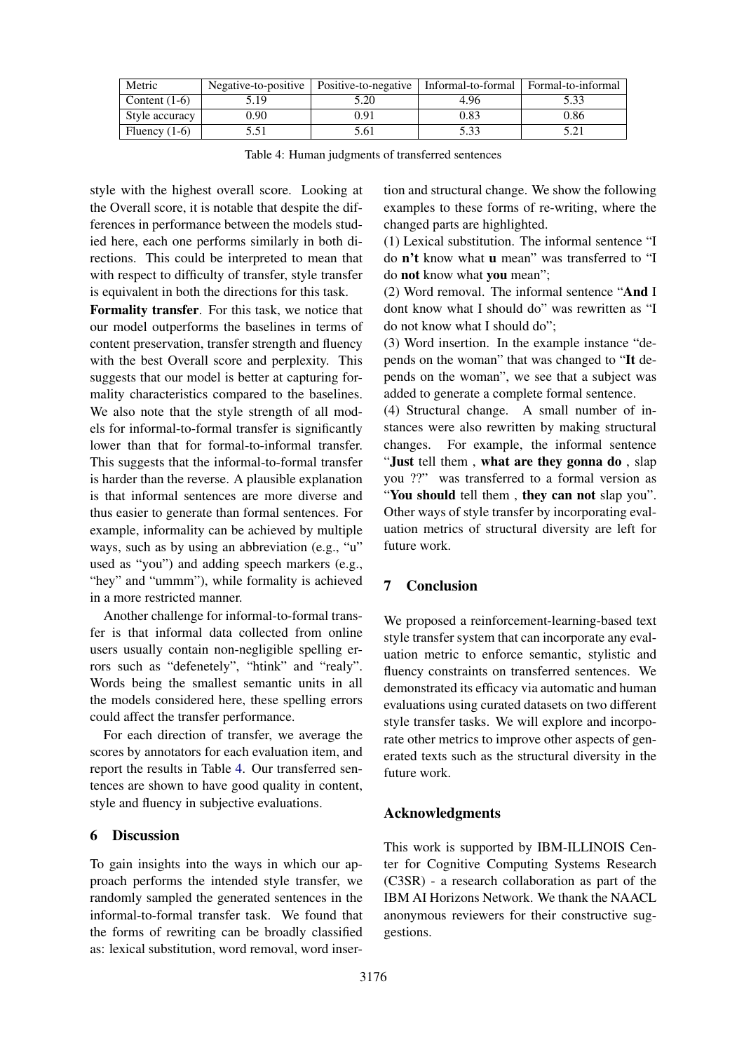<span id="page-8-2"></span>

| Metric          | Negative-to-positive | Positive-to-negative | Informal-to-formal | Formal-to-informal |
|-----------------|----------------------|----------------------|--------------------|--------------------|
| Content $(1-6)$ | 5.19                 | 5.20                 | 4.96               |                    |
| Style accuracy  | 0.90                 | 0.91                 | 0.83               | 0.86               |
| Fluency $(1-6)$ | 5.51                 | 5.61                 | 5.33               |                    |

Table 4: Human judgments of transferred sentences

style with the highest overall score. Looking at the Overall score, it is notable that despite the differences in performance between the models studied here, each one performs similarly in both directions. This could be interpreted to mean that with respect to difficulty of transfer, style transfer is equivalent in both the directions for this task.

Formality transfer. For this task, we notice that our model outperforms the baselines in terms of content preservation, transfer strength and fluency with the best Overall score and perplexity. This suggests that our model is better at capturing formality characteristics compared to the baselines. We also note that the style strength of all models for informal-to-formal transfer is significantly lower than that for formal-to-informal transfer. This suggests that the informal-to-formal transfer is harder than the reverse. A plausible explanation is that informal sentences are more diverse and thus easier to generate than formal sentences. For example, informality can be achieved by multiple ways, such as by using an abbreviation (e.g., "u" used as "you") and adding speech markers (e.g., "hey" and "ummm"), while formality is achieved in a more restricted manner.

Another challenge for informal-to-formal transfer is that informal data collected from online users usually contain non-negligible spelling errors such as "defenetely", "htink" and "realy". Words being the smallest semantic units in all the models considered here, these spelling errors could affect the transfer performance.

For each direction of transfer, we average the scores by annotators for each evaluation item, and report the results in Table [4.](#page-8-2) Our transferred sentences are shown to have good quality in content, style and fluency in subjective evaluations.

# <span id="page-8-0"></span>6 Discussion

To gain insights into the ways in which our approach performs the intended style transfer, we randomly sampled the generated sentences in the informal-to-formal transfer task. We found that the forms of rewriting can be broadly classified as: lexical substitution, word removal, word insertion and structural change. We show the following examples to these forms of re-writing, where the changed parts are highlighted.

(1) Lexical substitution. The informal sentence "I do n't know what u mean" was transferred to "I do not know what you mean";

(2) Word removal. The informal sentence "And I dont know what I should do" was rewritten as "I do not know what I should do";

(3) Word insertion. In the example instance "depends on the woman" that was changed to "It depends on the woman", we see that a subject was added to generate a complete formal sentence.

(4) Structural change. A small number of instances were also rewritten by making structural changes. For example, the informal sentence "Just tell them , what are they gonna do , slap you ??" was transferred to a formal version as "You should tell them, they can not slap you". Other ways of style transfer by incorporating evaluation metrics of structural diversity are left for future work.

# <span id="page-8-1"></span>7 Conclusion

We proposed a reinforcement-learning-based text style transfer system that can incorporate any evaluation metric to enforce semantic, stylistic and fluency constraints on transferred sentences. We demonstrated its efficacy via automatic and human evaluations using curated datasets on two different style transfer tasks. We will explore and incorporate other metrics to improve other aspects of generated texts such as the structural diversity in the future work.

### Acknowledgments

This work is supported by IBM-ILLINOIS Center for Cognitive Computing Systems Research (C3SR) - a research collaboration as part of the IBM AI Horizons Network. We thank the NAACL anonymous reviewers for their constructive suggestions.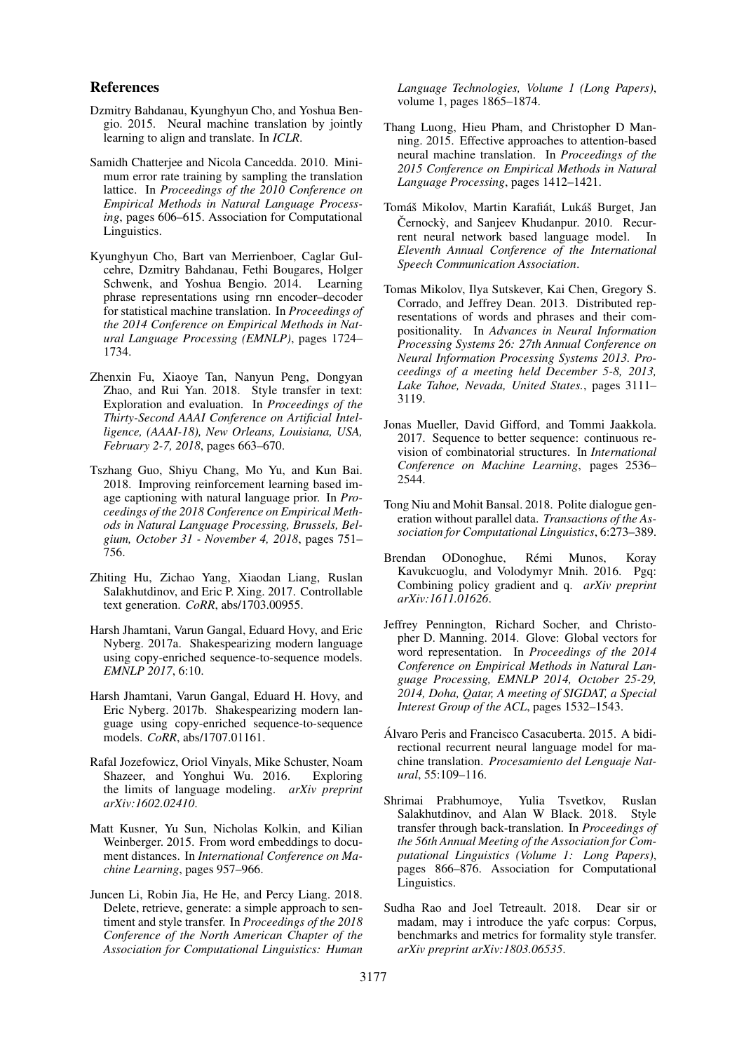#### References

- <span id="page-9-13"></span>Dzmitry Bahdanau, Kyunghyun Cho, and Yoshua Bengio. 2015. Neural machine translation by jointly learning to align and translate. In *ICLR*.
- <span id="page-9-17"></span>Samidh Chatterjee and Nicola Cancedda. 2010. Minimum error rate training by sampling the translation lattice. In *Proceedings of the 2010 Conference on Empirical Methods in Natural Language Processing*, pages 606–615. Association for Computational Linguistics.
- <span id="page-9-12"></span>Kyunghyun Cho, Bart van Merrienboer, Caglar Gulcehre, Dzmitry Bahdanau, Fethi Bougares, Holger Schwenk, and Yoshua Bengio. 2014. Learning phrase representations using rnn encoder–decoder for statistical machine translation. In *Proceedings of the 2014 Conference on Empirical Methods in Natural Language Processing (EMNLP)*, pages 1724– 1734.
- <span id="page-9-3"></span>Zhenxin Fu, Xiaoye Tan, Nanyun Peng, Dongyan Zhao, and Rui Yan. 2018. Style transfer in text: Exploration and evaluation. In *Proceedings of the Thirty-Second AAAI Conference on Artificial Intelligence, (AAAI-18), New Orleans, Louisiana, USA, February 2-7, 2018*, pages 663–670.
- <span id="page-9-11"></span>Tszhang Guo, Shiyu Chang, Mo Yu, and Kun Bai. 2018. Improving reinforcement learning based image captioning with natural language prior. In *Proceedings of the 2018 Conference on Empirical Methods in Natural Language Processing, Brussels, Belgium, October 31 - November 4, 2018*, pages 751– 756.
- <span id="page-9-8"></span>Zhiting Hu, Zichao Yang, Xiaodan Liang, Ruslan Salakhutdinov, and Eric P. Xing. 2017. Controllable text generation. *CoRR*, abs/1703.00955.
- <span id="page-9-6"></span>Harsh Jhamtani, Varun Gangal, Eduard Hovy, and Eric Nyberg. 2017a. Shakespearizing modern language using copy-enriched sequence-to-sequence models. *EMNLP 2017*, 6:10.
- <span id="page-9-2"></span>Harsh Jhamtani, Varun Gangal, Eduard H. Hovy, and Eric Nyberg. 2017b. Shakespearizing modern language using copy-enriched sequence-to-sequence models. *CoRR*, abs/1707.01161.
- <span id="page-9-15"></span>Rafal Jozefowicz, Oriol Vinyals, Mike Schuster, Noam Shazeer, and Yonghui Wu. 2016. Exploring the limits of language modeling. *arXiv preprint arXiv:1602.02410*.
- <span id="page-9-5"></span>Matt Kusner, Yu Sun, Nicholas Kolkin, and Kilian Weinberger. 2015. From word embeddings to document distances. In *International Conference on Machine Learning*, pages 957–966.
- <span id="page-9-7"></span>Juncen Li, Robin Jia, He He, and Percy Liang. 2018. Delete, retrieve, generate: a simple approach to sentiment and style transfer. In *Proceedings of the 2018 Conference of the North American Chapter of the Association for Computational Linguistics: Human*

*Language Technologies, Volume 1 (Long Papers)*, volume 1, pages 1865–1874.

- <span id="page-9-4"></span>Thang Luong, Hieu Pham, and Christopher D Manning. 2015. Effective approaches to attention-based neural machine translation. In *Proceedings of the 2015 Conference on Empirical Methods in Natural Language Processing*, pages 1412–1421.
- <span id="page-9-14"></span>Tomáš Mikolov, Martin Karafiát, Lukáš Burget, Jan Černockỳ, and Sanjeev Khudanpur. 2010. Recurrent neural network based language model. In *Eleventh Annual Conference of the International Speech Communication Association*.
- <span id="page-9-18"></span>Tomas Mikolov, Ilya Sutskever, Kai Chen, Gregory S. Corrado, and Jeffrey Dean. 2013. Distributed representations of words and phrases and their compositionality. In *Advances in Neural Information Processing Systems 26: 27th Annual Conference on Neural Information Processing Systems 2013. Proceedings of a meeting held December 5-8, 2013, Lake Tahoe, Nevada, United States.*, pages 3111– 3119.
- <span id="page-9-9"></span>Jonas Mueller, David Gifford, and Tommi Jaakkola. 2017. Sequence to better sequence: continuous revision of combinatorial structures. In *International Conference on Machine Learning*, pages 2536– 2544.
- <span id="page-9-1"></span>Tong Niu and Mohit Bansal. 2018. Polite dialogue generation without parallel data. *Transactions of the Association for Computational Linguistics*, 6:273–389.
- <span id="page-9-16"></span>Brendan ODonoghue, Rémi Munos, Koray Kavukcuoglu, and Volodymyr Mnih. 2016. Pgq: Combining policy gradient and q. *arXiv preprint arXiv:1611.01626*.
- <span id="page-9-19"></span>Jeffrey Pennington, Richard Socher, and Christopher D. Manning. 2014. Glove: Global vectors for word representation. In *Proceedings of the 2014 Conference on Empirical Methods in Natural Language Processing, EMNLP 2014, October 25-29, 2014, Doha, Qatar, A meeting of SIGDAT, a Special Interest Group of the ACL*, pages 1532–1543.
- <span id="page-9-20"></span>Alvaro Peris and Francisco Casacuberta. 2015. A bidi- ´ rectional recurrent neural language model for machine translation. *Procesamiento del Lenguaje Natural*, 55:109–116.
- <span id="page-9-10"></span>Shrimai Prabhumoye, Yulia Tsvetkov, Ruslan Salakhutdinov, and Alan W Black. 2018. Style transfer through back-translation. In *Proceedings of the 56th Annual Meeting of the Association for Computational Linguistics (Volume 1: Long Papers)*, pages 866–876. Association for Computational Linguistics.
- <span id="page-9-0"></span>Sudha Rao and Joel Tetreault. 2018. Dear sir or madam, may i introduce the yafc corpus: Corpus, benchmarks and metrics for formality style transfer. *arXiv preprint arXiv:1803.06535*.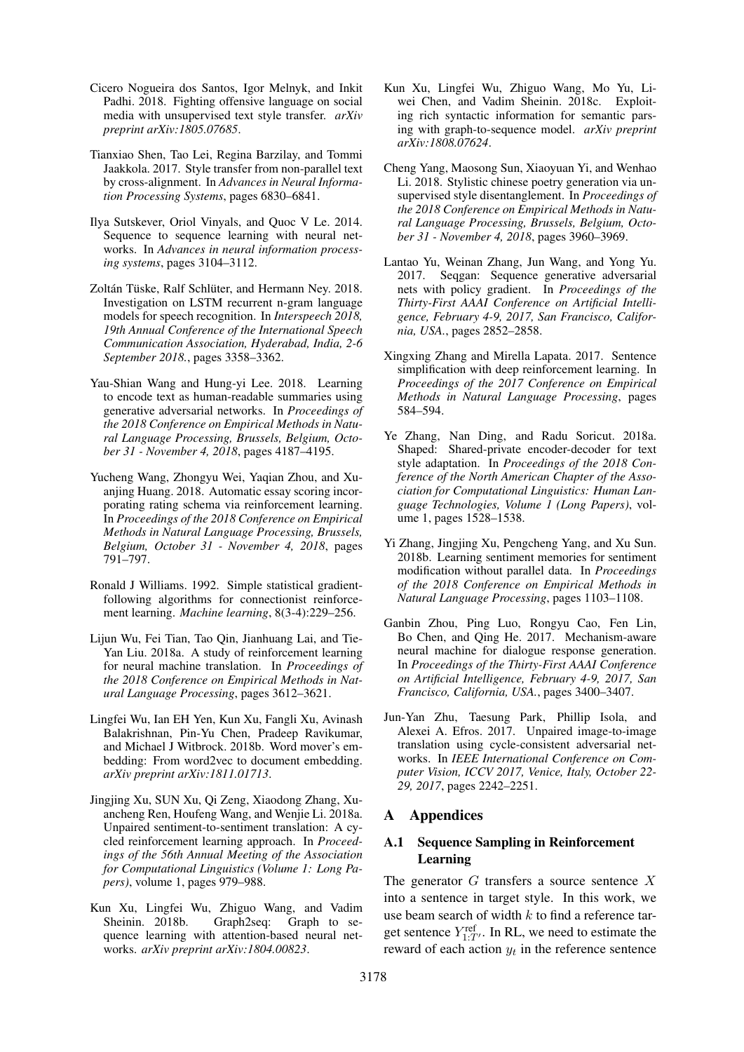- <span id="page-10-1"></span>Cicero Nogueira dos Santos, Igor Melnyk, and Inkit Padhi. 2018. Fighting offensive language on social media with unsupervised text style transfer. *arXiv preprint arXiv:1805.07685*.
- <span id="page-10-3"></span>Tianxiao Shen, Tao Lei, Regina Barzilay, and Tommi Jaakkola. 2017. Style transfer from non-parallel text by cross-alignment. In *Advances in Neural Information Processing Systems*, pages 6830–6841.
- <span id="page-10-14"></span>Ilya Sutskever, Oriol Vinyals, and Quoc V Le. 2014. Sequence to sequence learning with neural networks. In *Advances in neural information processing systems*, pages 3104–3112.
- <span id="page-10-18"></span>Zoltán Tüske, Ralf Schlüter, and Hermann Ney. 2018. Investigation on LSTM recurrent n-gram language models for speech recognition. In *Interspeech 2018, 19th Annual Conference of the International Speech Communication Association, Hyderabad, India, 2-6 September 2018.*, pages 3358–3362.
- <span id="page-10-16"></span>Yau-Shian Wang and Hung-yi Lee. 2018. Learning to encode text as human-readable summaries using generative adversarial networks. In *Proceedings of the 2018 Conference on Empirical Methods in Natural Language Processing, Brussels, Belgium, October 31 - November 4, 2018*, pages 4187–4195.
- <span id="page-10-12"></span>Yucheng Wang, Zhongyu Wei, Yaqian Zhou, and Xuanjing Huang. 2018. Automatic essay scoring incorporating rating schema via reinforcement learning. In *Proceedings of the 2018 Conference on Empirical Methods in Natural Language Processing, Brussels, Belgium, October 31 - November 4, 2018*, pages 791–797.
- <span id="page-10-17"></span>Ronald J Williams. 1992. Simple statistical gradientfollowing algorithms for connectionist reinforcement learning. *Machine learning*, 8(3-4):229–256.
- <span id="page-10-11"></span>Lijun Wu, Fei Tian, Tao Qin, Jianhuang Lai, and Tie-Yan Liu. 2018a. A study of reinforcement learning for neural machine translation. In *Proceedings of the 2018 Conference on Empirical Methods in Natural Language Processing*, pages 3612–3621.
- <span id="page-10-5"></span>Lingfei Wu, Ian EH Yen, Kun Xu, Fangli Xu, Avinash Balakrishnan, Pin-Yu Chen, Pradeep Ravikumar, and Michael J Witbrock. 2018b. Word mover's embedding: From word2vec to document embedding. *arXiv preprint arXiv:1811.01713*.
- <span id="page-10-13"></span>Jingjing Xu, SUN Xu, Qi Zeng, Xiaodong Zhang, Xuancheng Ren, Houfeng Wang, and Wenjie Li. 2018a. Unpaired sentiment-to-sentiment translation: A cycled reinforcement learning approach. In *Proceedings of the 56th Annual Meeting of the Association for Computational Linguistics (Volume 1: Long Papers)*, volume 1, pages 979–988.
- <span id="page-10-4"></span>Kun Xu, Lingfei Wu, Zhiguo Wang, and Vadim Sheinin. 2018b. Graph2seq: Graph to sequence learning with attention-based neural networks. *arXiv preprint arXiv:1804.00823*.
- <span id="page-10-15"></span>Kun Xu, Lingfei Wu, Zhiguo Wang, Mo Yu, Liwei Chen, and Vadim Sheinin. 2018c. Exploiting rich syntactic information for semantic parsing with graph-to-sequence model. *arXiv preprint arXiv:1808.07624*.
- <span id="page-10-2"></span>Cheng Yang, Maosong Sun, Xiaoyuan Yi, and Wenhao Li. 2018. Stylistic chinese poetry generation via unsupervised style disentanglement. In *Proceedings of the 2018 Conference on Empirical Methods in Natural Language Processing, Brussels, Belgium, October 31 - November 4, 2018*, pages 3960–3969.
- <span id="page-10-10"></span>Lantao Yu, Weinan Zhang, Jun Wang, and Yong Yu. 2017. Seqgan: Sequence generative adversarial nets with policy gradient. In *Proceedings of the Thirty-First AAAI Conference on Artificial Intelligence, February 4-9, 2017, San Francisco, California, USA.*, pages 2852–2858.
- <span id="page-10-7"></span>Xingxing Zhang and Mirella Lapata. 2017. Sentence simplification with deep reinforcement learning. In *Proceedings of the 2017 Conference on Empirical Methods in Natural Language Processing*, pages 584–594.
- <span id="page-10-8"></span>Ye Zhang, Nan Ding, and Radu Soricut. 2018a. Shaped: Shared-private encoder-decoder for text style adaptation. In *Proceedings of the 2018 Conference of the North American Chapter of the Association for Computational Linguistics: Human Language Technologies, Volume 1 (Long Papers)*, volume 1, pages 1528–1538.
- <span id="page-10-6"></span>Yi Zhang, Jingjing Xu, Pengcheng Yang, and Xu Sun. 2018b. Learning sentiment memories for sentiment modification without parallel data. In *Proceedings of the 2018 Conference on Empirical Methods in Natural Language Processing*, pages 1103–1108.
- <span id="page-10-0"></span>Ganbin Zhou, Ping Luo, Rongyu Cao, Fen Lin, Bo Chen, and Qing He. 2017. Mechanism-aware neural machine for dialogue response generation. In *Proceedings of the Thirty-First AAAI Conference on Artificial Intelligence, February 4-9, 2017, San Francisco, California, USA.*, pages 3400–3407.
- <span id="page-10-9"></span>Jun-Yan Zhu, Taesung Park, Phillip Isola, and Alexei A. Efros. 2017. Unpaired image-to-image translation using cycle-consistent adversarial networks. In *IEEE International Conference on Computer Vision, ICCV 2017, Venice, Italy, October 22- 29, 2017*, pages 2242–2251.

# A Appendices

## A.1 Sequence Sampling in Reinforcement Learning

The generator  $G$  transfers a source sentence  $X$ into a sentence in target style. In this work, we use beam search of width  $k$  to find a reference target sentence  $Y_{1:T'}^{\text{ref}}$ . In RL, we need to estimate the reward of each action  $y_t$  in the reference sentence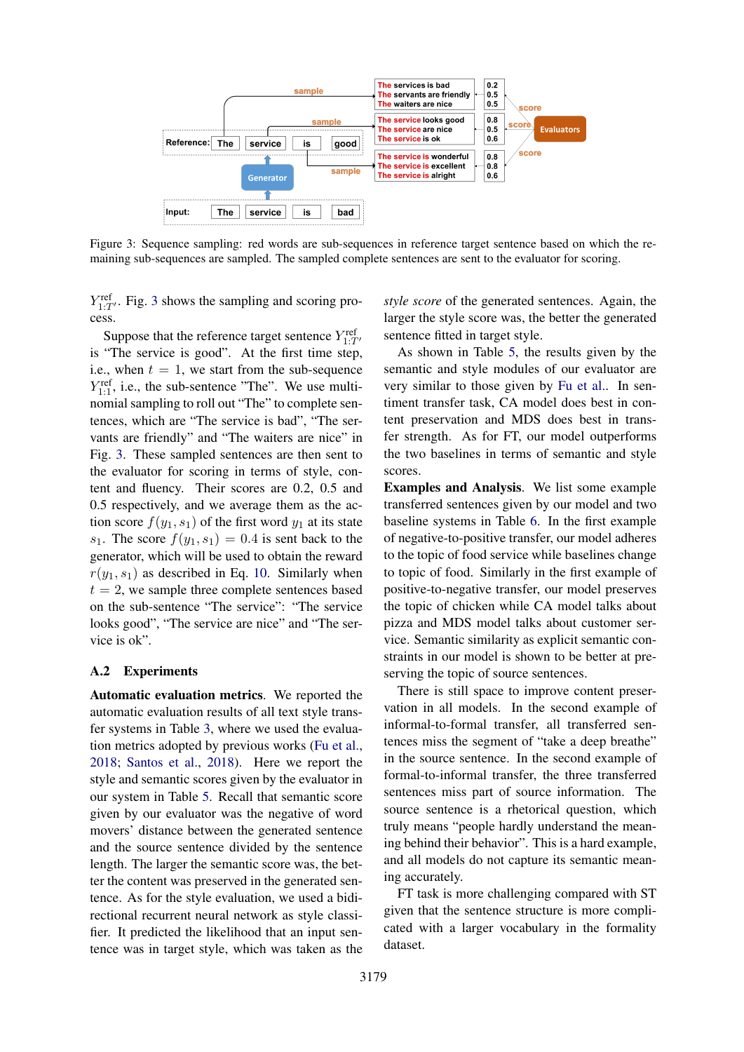<span id="page-11-0"></span>

Figure 3: Sequence sampling: red words are sub-sequences in reference target sentence based on which the remaining sub-sequences are sampled. The sampled complete sentences are sent to the evaluator for scoring.

 $Y_{1:T'}^{\text{ref}}$ . Fig. [3](#page-11-0) shows the sampling and scoring process.

Suppose that the reference target sentence  $Y_{1:T'}^{\text{ref}}$ is "The service is good". At the first time step, i.e., when  $t = 1$ , we start from the sub-sequence  $Y_{1:1}^{\text{ref}}$ , i.e., the sub-sentence "The". We use multinomial sampling to roll out "The" to complete sentences, which are "The service is bad", "The servants are friendly" and "The waiters are nice" in Fig. [3.](#page-11-0) These sampled sentences are then sent to the evaluator for scoring in terms of style, content and fluency. Their scores are 0.2, 0.5 and 0.5 respectively, and we average them as the action score  $f(y_1, s_1)$  of the first word  $y_1$  at its state  $s_1$ . The score  $f(y_1, s_1) = 0.4$  is sent back to the generator, which will be used to obtain the reward  $r(y_1, s_1)$  as described in Eq. [10.](#page-5-2) Similarly when  $t = 2$ , we sample three complete sentences based on the sub-sentence "The service": "The service looks good", "The service are nice" and "The service is ok".

#### A.2 Experiments

Automatic evaluation metrics. We reported the automatic evaluation results of all text style transfer systems in Table [3,](#page-7-1) where we used the evaluation metrics adopted by previous works [\(Fu et al.,](#page-9-3) [2018;](#page-9-3) [Santos et al.,](#page-10-1) [2018\)](#page-10-1). Here we report the style and semantic scores given by the evaluator in our system in Table [5.](#page-12-0) Recall that semantic score given by our evaluator was the negative of word movers' distance between the generated sentence and the source sentence divided by the sentence length. The larger the semantic score was, the better the content was preserved in the generated sentence. As for the style evaluation, we used a bidirectional recurrent neural network as style classifier. It predicted the likelihood that an input sentence was in target style, which was taken as the

*style score* of the generated sentences. Again, the larger the style score was, the better the generated sentence fitted in target style.

As shown in Table [5,](#page-12-0) the results given by the semantic and style modules of our evaluator are very similar to those given by [Fu et al..](#page-9-3) In sentiment transfer task, CA model does best in content preservation and MDS does best in transfer strength. As for FT, our model outperforms the two baselines in terms of semantic and style scores.

Examples and Analysis. We list some example transferred sentences given by our model and two baseline systems in Table [6.](#page-12-1) In the first example of negative-to-positive transfer, our model adheres to the topic of food service while baselines change to topic of food. Similarly in the first example of positive-to-negative transfer, our model preserves the topic of chicken while CA model talks about pizza and MDS model talks about customer service. Semantic similarity as explicit semantic constraints in our model is shown to be better at preserving the topic of source sentences.

There is still space to improve content preservation in all models. In the second example of informal-to-formal transfer, all transferred sentences miss the segment of "take a deep breathe" in the source sentence. In the second example of formal-to-informal transfer, the three transferred sentences miss part of source information. The source sentence is a rhetorical question, which truly means "people hardly understand the meaning behind their behavior". This is a hard example, and all models do not capture its semantic meaning accurately.

FT task is more challenging compared with ST given that the sentence structure is more complicated with a larger vocabulary in the formality dataset.